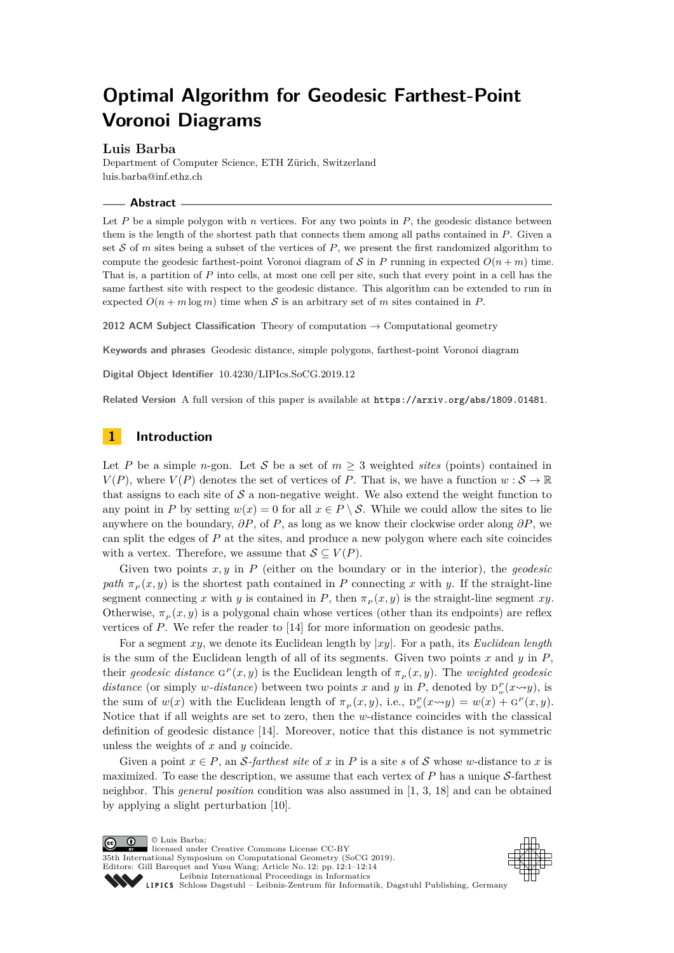# **Optimal Algorithm for Geodesic Farthest-Point Voronoi Diagrams**

### **Luis Barba**

Department of Computer Science, ETH Zürich, Switzerland [luis.barba@inf.ethz.ch](mailto:luis.barba@inf.ethz.ch)

### **Abstract**

Let  $P$  be a simple polygon with  $n$  vertices. For any two points in  $P$ , the geodesic distance between them is the length of the shortest path that connects them among all paths contained in *P*. Given a set S of *m* sites being a subset of the vertices of  $P$ , we present the first randomized algorithm to compute the geodesic farthest-point Voronoi diagram of S in P running in expected  $O(n+m)$  time. That is, a partition of *P* into cells, at most one cell per site, such that every point in a cell has the same farthest site with respect to the geodesic distance. This algorithm can be extended to run in expected  $O(n + m \log m)$  time when S is an arbitrary set of m sites contained in P.

**2012 ACM Subject Classification** Theory of computation → Computational geometry

**Keywords and phrases** Geodesic distance, simple polygons, farthest-point Voronoi diagram

**Digital Object Identifier** [10.4230/LIPIcs.SoCG.2019.12](https://doi.org/10.4230/LIPIcs.SoCG.2019.12)

**Related Version** A full version of this paper is available at <https://arxiv.org/abs/1809.01481>.

## **1 Introduction**

Let *P* be a simple *n*-gon. Let *S* be a set of  $m \geq 3$  weighted *sites* (points) contained in  $V(P)$ , where  $V(P)$  denotes the set of vertices of *P*. That is, we have a function  $w : S \to \mathbb{R}$ that assigns to each site of  $\mathcal S$  a non-negative weight. We also extend the weight function to any point in *P* by setting  $w(x) = 0$  for all  $x \in P \setminus S$ . While we could allow the sites to lie anywhere on the boundary, *∂P*, of *P*, as long as we know their clockwise order along *∂P*, we can split the edges of *P* at the sites, and produce a new polygon where each site coincides with a vertex. Therefore, we assume that  $S \subseteq V(P)$ .

Given two points *x, y* in *P* (either on the boundary or in the interior), the *geodesic path*  $\pi$ <sup>*P*</sup> (*x, y*) is the shortest path contained in *P* connecting *x* with *y*. If the straight-line segment connecting *x* with *y* is contained in *P*, then  $\pi_P(x, y)$  is the straight-line segment *xy*. Otherwise,  $\pi_P(x, y)$  is a polygonal chain whose vertices (other than its endpoints) are reflex vertices of *P*. We refer the reader to [\[14\]](#page-13-0) for more information on geodesic paths.

For a segment *xy*, we denote its Euclidean length by |*xy*|. For a path, its *Euclidean length* is the sum of the Euclidean length of all of its segments. Given two points *x* and *y* in *P*, their geodesic distance  $G^P(x, y)$  is the Euclidean length of  $\pi_P(x, y)$ . The *weighted geodesic distance* (or simply *w-distance*) between two points *x* and *y* in *P*, denoted by  $D_w^P(x \rightarrow y)$ , is the sum of  $w(x)$  with the Euclidean length of  $\pi_P(x, y)$ , i.e.,  $D_w^P(x \rightarrow y) = w(x) + G^P(x, y)$ . Notice that if all weights are set to zero, then the *w*-distance coincides with the classical definition of geodesic distance [\[14\]](#page-13-0). Moreover, notice that this distance is not symmetric unless the weights of *x* and *y* coincide.

Given a point  $x \in P$ , an S-farthest site of x in P is a site s of S whose w-distance to x is maximized. To ease the description, we assume that each vertex of *P* has a unique S-farthest neighbor. This *general position* condition was also assumed in [\[1,](#page-12-0) [3,](#page-12-1) [18\]](#page-13-1) and can be obtained by applying a slight perturbation [\[10\]](#page-13-2).

© Luis Barba;  $\boxed{6}$  0 licensed under Creative Commons License CC-BY 35th International Symposium on Computational Geometry (SoCG 2019). Editors: Gill Barequet and Yusu Wang; Article No. 12; pp. 12:1–12[:14](#page-13-3) [Leibniz International Proceedings in Informatics](https://www.dagstuhl.de/lipics/) [Schloss Dagstuhl – Leibniz-Zentrum für Informatik, Dagstuhl Publishing, Germany](https://www.dagstuhl.de)

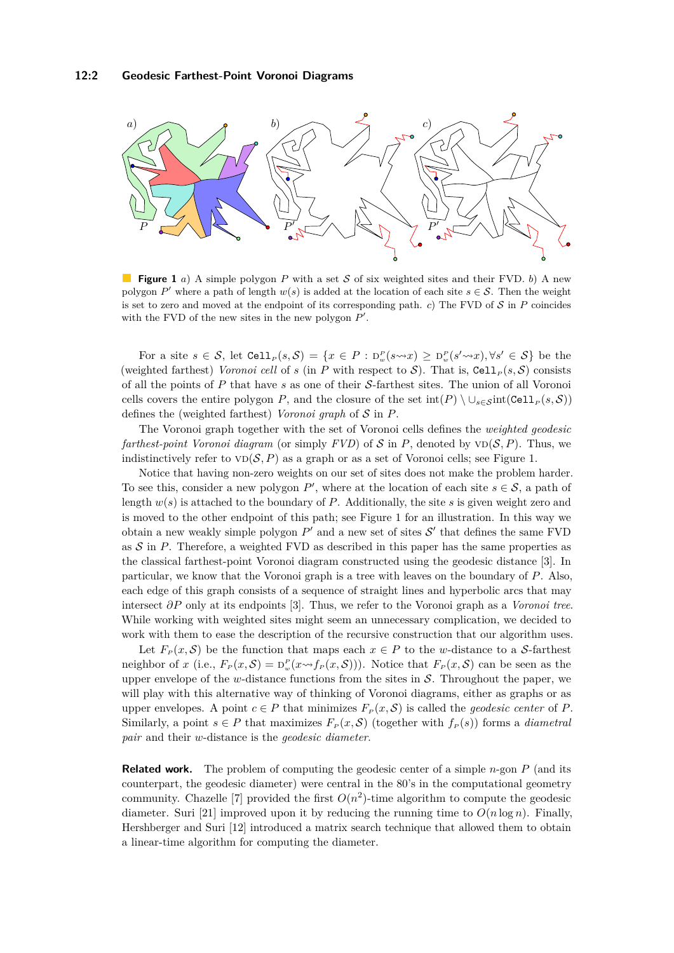<span id="page-1-0"></span>

**Figure 1** *a*) A simple polygon *P* with a set S of six weighted sites and their FVD. *b*) A new polygon *P*<sup> $\prime$ </sup> where a path of length  $w(s)$  is added at the location of each site  $s \in \mathcal{S}$ . Then the weight is set to zero and moved at the endpoint of its corresponding path. *c*) The FVD of  $S$  in  $P$  coincides with the FVD of the new sites in the new polygon  $P'$ .

For a site  $s \in \mathcal{S}$ , let  $\text{Cell}_P(s, \mathcal{S}) = \{x \in P : D_w^P(s \rightarrow x) \geq D_w^P(s' \rightarrow x), \forall s' \in \mathcal{S}\}\)$  be the (weighted farthest) *Voronoi cell* of *s* (in *P* with respect to *S*). That is, Cell<sub>*P*</sub>(*s*, *S*) consists of all the points of *P* that have *s* as one of their S-farthest sites. The union of all Voronoi cells covers the entire polygon *P*, and the closure of the set  $int(P) \setminus \bigcup_{s \in \mathcal{S}} int(Ce11_P(s, \mathcal{S}))$ defines the (weighted farthest) *Voronoi graph* of S in *P*.

The Voronoi graph together with the set of Voronoi cells defines the *weighted geodesic farthest-point Voronoi diagram* (or simply  $FVD$ ) of S in P, denoted by  $VD(S, P)$ . Thus, we indistinctively refer to  $VD(S, P)$  as a graph or as a set of Voronoi cells; see Figure [1.](#page-1-0)

Notice that having non-zero weights on our set of sites does not make the problem harder. To see this, consider a new polygon  $P'$ , where at the location of each site  $s \in S$ , a path of length *w*(*s*) is attached to the boundary of *P*. Additionally, the site *s* is given weight zero and is moved to the other endpoint of this path; see Figure [1](#page-1-0) for an illustration. In this way we obtain a new weakly simple polygon  $P'$  and a new set of sites  $S'$  that defines the same FVD as  $S$  in  $P$ . Therefore, a weighted FVD as described in this paper has the same properties as the classical farthest-point Voronoi diagram constructed using the geodesic distance [\[3\]](#page-12-1). In particular, we know that the Voronoi graph is a tree with leaves on the boundary of *P*. Also, each edge of this graph consists of a sequence of straight lines and hyperbolic arcs that may intersect *∂P* only at its endpoints [\[3\]](#page-12-1). Thus, we refer to the Voronoi graph as a *Voronoi tree*. While working with weighted sites might seem an unnecessary complication, we decided to work with them to ease the description of the recursive construction that our algorithm uses.

Let  $F_P(x, \mathcal{S})$  be the function that maps each  $x \in P$  to the *w*-distance to a S-farthest neighbor of *x* (i.e.,  $F_P(x, \mathcal{S}) = D_w^P(x \sim f_P(x, \mathcal{S}))$ ). Notice that  $F_P(x, \mathcal{S})$  can be seen as the upper envelope of the *w*-distance functions from the sites in  $S$ . Throughout the paper, we will play with this alternative way of thinking of Voronoi diagrams, either as graphs or as upper envelopes. A point  $c \in P$  that minimizes  $F_P(x, \mathcal{S})$  is called the *geodesic center* of P. Similarly, a point  $s \in P$  that maximizes  $F_P(x, S)$  (together with  $f_P(s)$ ) forms a *diametral pair* and their *w*-distance is the *geodesic diameter*.

**Related work.** The problem of computing the geodesic center of a simple *n*-gon *P* (and its counterpart, the geodesic diameter) were central in the 80's in the computational geometry community. Chazelle [\[7\]](#page-12-2) provided the first  $O(n^2)$ -time algorithm to compute the geodesic diameter. Suri [\[21\]](#page-13-4) improved upon it by reducing the running time to  $O(n \log n)$ . Finally, Hershberger and Suri [\[12\]](#page-13-5) introduced a matrix search technique that allowed them to obtain a linear-time algorithm for computing the diameter.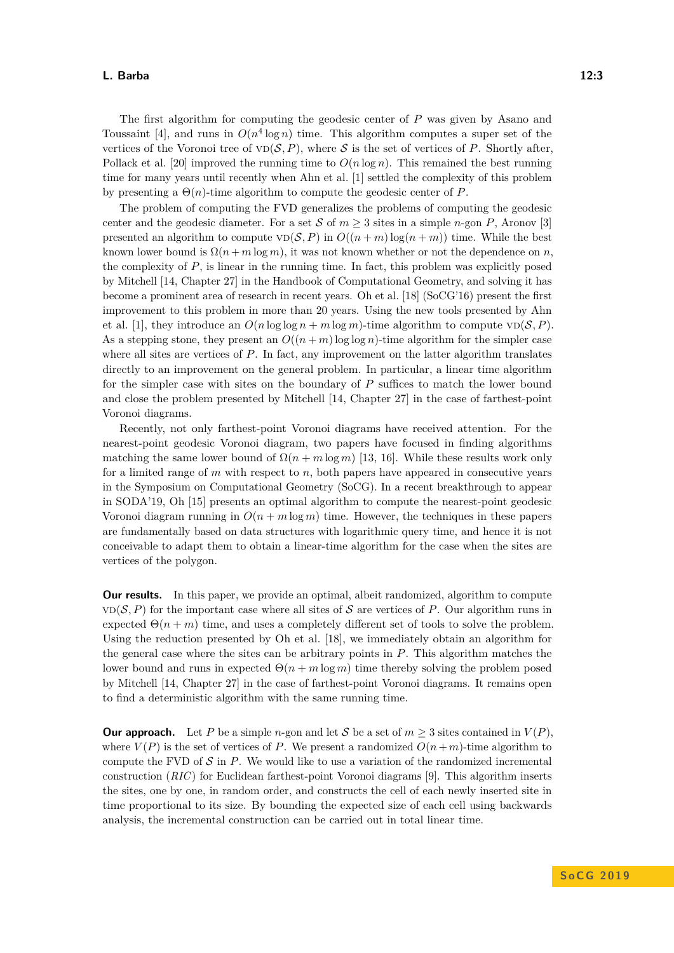The first algorithm for computing the geodesic center of *P* was given by Asano and Toussaint [\[4\]](#page-12-3), and runs in  $O(n^4 \log n)$  time. This algorithm computes a super set of the vertices of the Voronoi tree of  $VD(S, P)$ , where S is the set of vertices of P. Shortly after, Pollack et al. [\[20\]](#page-13-6) improved the running time to  $O(n \log n)$ . This remained the best running time for many years until recently when Ahn et al. [\[1\]](#page-12-0) settled the complexity of this problem by presenting a  $\Theta(n)$ -time algorithm to compute the geodesic center of *P*.

The problem of computing the FVD generalizes the problems of computing the geodesic center and the geodesic diameter. For a set S of  $m \geq 3$  sites in a simple *n*-gon P, Aronov [\[3\]](#page-12-1) presented an algorithm to compute  $VD(S, P)$  in  $O((n + m)log(n + m))$  time. While the best known lower bound is  $\Omega(n+m\log m)$ , it was not known whether or not the dependence on *n*, the complexity of *P*, is linear in the running time. In fact, this problem was explicitly posed by Mitchell [\[14,](#page-13-0) Chapter 27] in the Handbook of Computational Geometry, and solving it has become a prominent area of research in recent years. Oh et al. [\[18\]](#page-13-1) (SoCG'16) present the first improvement to this problem in more than 20 years. Using the new tools presented by Ahn et al. [\[1\]](#page-12-0), they introduce an  $O(n \log \log n + m \log m)$ -time algorithm to compute  $VD(S, P)$ . As a stepping stone, they present an  $O((n+m)\log\log n)$ -time algorithm for the simpler case where all sites are vertices of *P*. In fact, any improvement on the latter algorithm translates directly to an improvement on the general problem. In particular, a linear time algorithm for the simpler case with sites on the boundary of *P* suffices to match the lower bound and close the problem presented by Mitchell [\[14,](#page-13-0) Chapter 27] in the case of farthest-point Voronoi diagrams.

Recently, not only farthest-point Voronoi diagrams have received attention. For the nearest-point geodesic Voronoi diagram, two papers have focused in finding algorithms matching the same lower bound of  $\Omega(n + m \log m)$  [\[13,](#page-13-7) [16\]](#page-13-8). While these results work only for a limited range of *m* with respect to *n*, both papers have appeared in consecutive years in the Symposium on Computational Geometry (SoCG). In a recent breakthrough to appear in SODA'19, Oh [\[15\]](#page-13-9) presents an optimal algorithm to compute the nearest-point geodesic Voronoi diagram running in  $O(n + m \log m)$  time. However, the techniques in these papers are fundamentally based on data structures with logarithmic query time, and hence it is not conceivable to adapt them to obtain a linear-time algorithm for the case when the sites are vertices of the polygon.

**Our results.** In this paper, we provide an optimal, albeit randomized, algorithm to compute  $\text{VD}(\mathcal{S}, P)$  for the important case where all sites of S are vertices of P. Our algorithm runs in expected  $\Theta(n+m)$  time, and uses a completely different set of tools to solve the problem. Using the reduction presented by Oh et al. [\[18\]](#page-13-1), we immediately obtain an algorithm for the general case where the sites can be arbitrary points in *P*. This algorithm matches the lower bound and runs in expected  $\Theta(n+m \log m)$  time thereby solving the problem posed by Mitchell [\[14,](#page-13-0) Chapter 27] in the case of farthest-point Voronoi diagrams. It remains open to find a deterministic algorithm with the same running time.

**Our approach.** Let P be a simple *n*-gon and let S be a set of  $m > 3$  sites contained in  $V(P)$ , where  $V(P)$  is the set of vertices of P. We present a randomized  $O(n+m)$ -time algorithm to compute the FVD of  $S$  in  $P$ . We would like to use a variation of the randomized incremental construction (*RIC*) for Euclidean farthest-point Voronoi diagrams [\[9\]](#page-13-10). This algorithm inserts the sites, one by one, in random order, and constructs the cell of each newly inserted site in time proportional to its size. By bounding the expected size of each cell using backwards analysis, the incremental construction can be carried out in total linear time.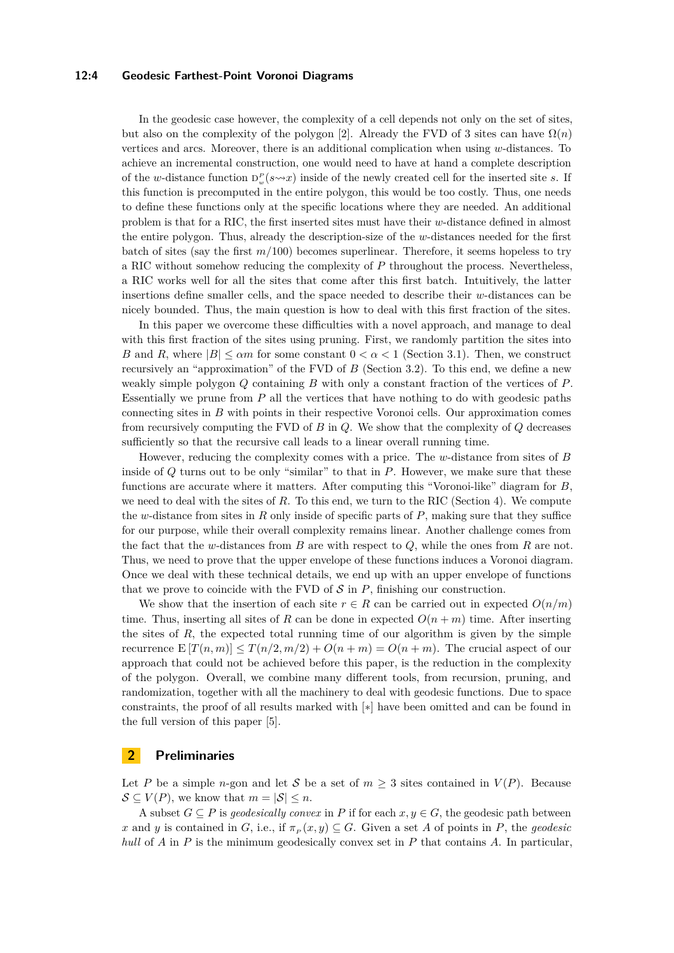### **12:4 Geodesic Farthest-Point Voronoi Diagrams**

In the geodesic case however, the complexity of a cell depends not only on the set of sites, but also on the complexity of the polygon [\[2\]](#page-12-4). Already the FVD of 3 sites can have  $\Omega(n)$ vertices and arcs. Moreover, there is an additional complication when using *w*-distances. To achieve an incremental construction, one would need to have at hand a complete description of the *w*-distance function  $D_w^P(s \rightarrow x)$  inside of the newly created cell for the inserted site *s*. If this function is precomputed in the entire polygon, this would be too costly. Thus, one needs to define these functions only at the specific locations where they are needed. An additional problem is that for a RIC, the first inserted sites must have their *w*-distance defined in almost the entire polygon. Thus, already the description-size of the *w*-distances needed for the first batch of sites (say the first *m/*100) becomes superlinear. Therefore, it seems hopeless to try a RIC without somehow reducing the complexity of *P* throughout the process. Nevertheless, a RIC works well for all the sites that come after this first batch. Intuitively, the latter insertions define smaller cells, and the space needed to describe their *w*-distances can be nicely bounded. Thus, the main question is how to deal with this first fraction of the sites.

In this paper we overcome these difficulties with a novel approach, and manage to deal with this first fraction of the sites using pruning. First, we randomly partition the sites into *B* and *R*, where  $|B| \le \alpha m$  for some constant  $0 < \alpha < 1$  (Section [3.1\)](#page-6-0). Then, we construct recursively an "approximation" of the FVD of *B* (Section [3.2\)](#page-6-1). To this end, we define a new weakly simple polygon *Q* containing *B* with only a constant fraction of the vertices of *P*. Essentially we prune from *P* all the vertices that have nothing to do with geodesic paths connecting sites in *B* with points in their respective Voronoi cells. Our approximation comes from recursively computing the FVD of *B* in *Q*. We show that the complexity of *Q* decreases sufficiently so that the recursive call leads to a linear overall running time.

However, reducing the complexity comes with a price. The *w*-distance from sites of *B* inside of *Q* turns out to be only "similar" to that in *P*. However, we make sure that these functions are accurate where it matters. After computing this "Voronoi-like" diagram for *B*, we need to deal with the sites of *R*. To this end, we turn to the RIC (Section [4\)](#page-9-0). We compute the *w*-distance from sites in *R* only inside of specific parts of *P*, making sure that they suffice for our purpose, while their overall complexity remains linear. Another challenge comes from the fact that the *w*-distances from *B* are with respect to *Q*, while the ones from *R* are not. Thus, we need to prove that the upper envelope of these functions induces a Voronoi diagram. Once we deal with these technical details, we end up with an upper envelope of functions that we prove to coincide with the FVD of  $S$  in  $P$ , finishing our construction.

We show that the insertion of each site  $r \in R$  can be carried out in expected  $O(n/m)$ time. Thus, inserting all sites of *R* can be done in expected  $O(n+m)$  time. After inserting the sites of *R*, the expected total running time of our algorithm is given by the simple recurrence  $E[T(n, m)] \leq T(n/2, m/2) + O(n + m) = O(n + m)$ . The crucial aspect of our approach that could not be achieved before this paper, is the reduction in the complexity of the polygon. Overall, we combine many different tools, from recursion, pruning, and randomization, together with all the machinery to deal with geodesic functions. Due to space constraints, the proof of all results marked with [∗] have been omitted and can be found in the full version of this paper [\[5\]](#page-12-5).

### **2 Preliminaries**

Let *P* be a simple *n*-gon and let *S* be a set of  $m \geq 3$  sites contained in  $V(P)$ . Because  $\mathcal{S} \subseteq V(P)$ , we know that  $m = |\mathcal{S}| \leq n$ .

A subset  $G \subseteq P$  is *geodesically convex* in P if for each  $x, y \in G$ , the geodesic path between *x* and *y* is contained in *G*, i.e., if  $\pi_P(x, y) \subseteq G$ . Given a set *A* of points in *P*, the *geodesic hull* of *A* in *P* is the minimum geodesically convex set in *P* that contains *A*. In particular,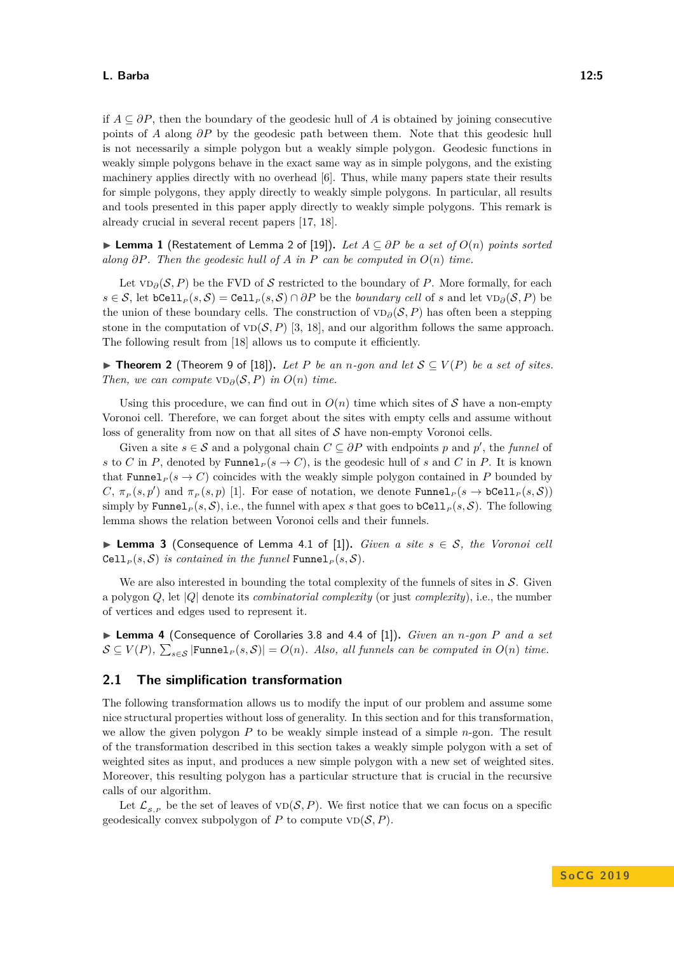if *A* ⊆ *∂P*, then the boundary of the geodesic hull of *A* is obtained by joining consecutive points of *A* along *∂P* by the geodesic path between them. Note that this geodesic hull is not necessarily a simple polygon but a weakly simple polygon. Geodesic functions in weakly simple polygons behave in the exact same way as in simple polygons, and the existing machinery applies directly with no overhead [\[6\]](#page-12-6). Thus, while many papers state their results for simple polygons, they apply directly to weakly simple polygons. In particular, all results and tools presented in this paper apply directly to weakly simple polygons. This remark is already crucial in several recent papers [\[17,](#page-13-11) [18\]](#page-13-1).

<span id="page-4-0"></span>I **Lemma 1** (Restatement of Lemma 2 of [\[19\]](#page-13-12))**.** *Let A* ⊆ *∂P be a set of O*(*n*) *points sorted along*  $\partial P$ *. Then the geodesic hull of*  $A$  *in*  $P$  *can be computed in*  $O(n)$  *time.* 

Let  $\text{VD}_{\partial}(\mathcal{S}, P)$  be the FVD of S restricted to the boundary of P. More formally, for each *s* ∈ S, let bCell<sub>*P*</sub> $(s, S)$  = Cell<sub>*P</sub>* $(s, S)$  ∩  $\partial P$  be the *boundary cell* of *s* and let  $VD_{\partial}(S, P)$  be</sub> the union of these boundary cells. The construction of  $VD_{\partial}(\mathcal{S}, P)$  has often been a stepping stone in the computation of  $VD(S, P)$  [\[3,](#page-12-1) [18\]](#page-13-1), and our algorithm follows the same approach. The following result from [\[18\]](#page-13-1) allows us to compute it efficiently.

<span id="page-4-2"></span>▶ **Theorem 2** (Theorem 9 of [\[18\]](#page-13-1)). Let P be an *n*-gon and let  $S ⊆ V(P)$  be a set of sites. *Then, we can compute*  $VD_{\partial}(\mathcal{S}, P)$  *in*  $O(n)$  *time.* 

Using this procedure, we can find out in  $O(n)$  time which sites of S have a non-empty Voronoi cell. Therefore, we can forget about the sites with empty cells and assume without loss of generality from now on that all sites of  $S$  have non-empty Voronoi cells.

Given a site  $s \in \mathcal{S}$  and a polygonal chain  $C \subseteq \partial P$  with endpoints p and p', the funnel of *s* to *C* in *P*, denoted by Funnel<sub>*P*</sub>( $s \to C$ ), is the geodesic hull of *s* and *C* in *P*. It is known that Funnel<sub>*P*</sub>( $s \rightarrow C$ ) coincides with the weakly simple polygon contained in *P* bounded by  $C, \pi_P(s, p')$  and  $\pi_P(s, p)$  [\[1\]](#page-12-0). For ease of notation, we denote  $\text{Funnel}_P(s \to \text{bCell}_P(s, S))$ simply by Funnel<sub>P</sub> $(s, S)$ , i.e., the funnel with apex *s* that goes to bCell<sub>P</sub> $(s, S)$ . The following lemma shows the relation between Voronoi cells and their funnels.

▶ **Lemma 3** (Consequence of Lemma 4.1 of [\[1\]](#page-12-0)). *Given a site*  $s \in S$ , the Voronoi cell Cell<sub>*P*</sub> $(s, S)$  *is contained in the funnel* Funnel<sub>*P*</sub> $(s, S)$ *.* 

We are also interested in bounding the total complexity of the funnels of sites in  $S$ . Given a polygon *Q*, let |*Q*| denote its *combinatorial complexity* (or just *complexity*), i.e., the number of vertices and edges used to represent it.

<span id="page-4-3"></span>▶ Lemma 4 (Consequence of Corollaries 3.8 and 4.4 of [\[1\]](#page-12-0)). *Given an n-gon P and a set*  $\mathcal{S} \subseteq V(P)$ ,  $\sum_{s \in \mathcal{S}} |\text{Funnel}_P(s,\mathcal{S})| = O(n)$ *. Also, all funnels can be computed in*  $O(n)$  *time.* 

## <span id="page-4-1"></span>**2.1 The simplification transformation**

The following transformation allows us to modify the input of our problem and assume some nice structural properties without loss of generality. In this section and for this transformation, we allow the given polygon *P* to be weakly simple instead of a simple *n*-gon. The result of the transformation described in this section takes a weakly simple polygon with a set of weighted sites as input, and produces a new simple polygon with a new set of weighted sites. Moreover, this resulting polygon has a particular structure that is crucial in the recursive calls of our algorithm.

Let  $\mathcal{L}_{S,P}$  be the set of leaves of  $VD(\mathcal{S}, P)$ . We first notice that we can focus on a specific geodesically convex subpolygon of *P* to compute  $VD(S, P)$ .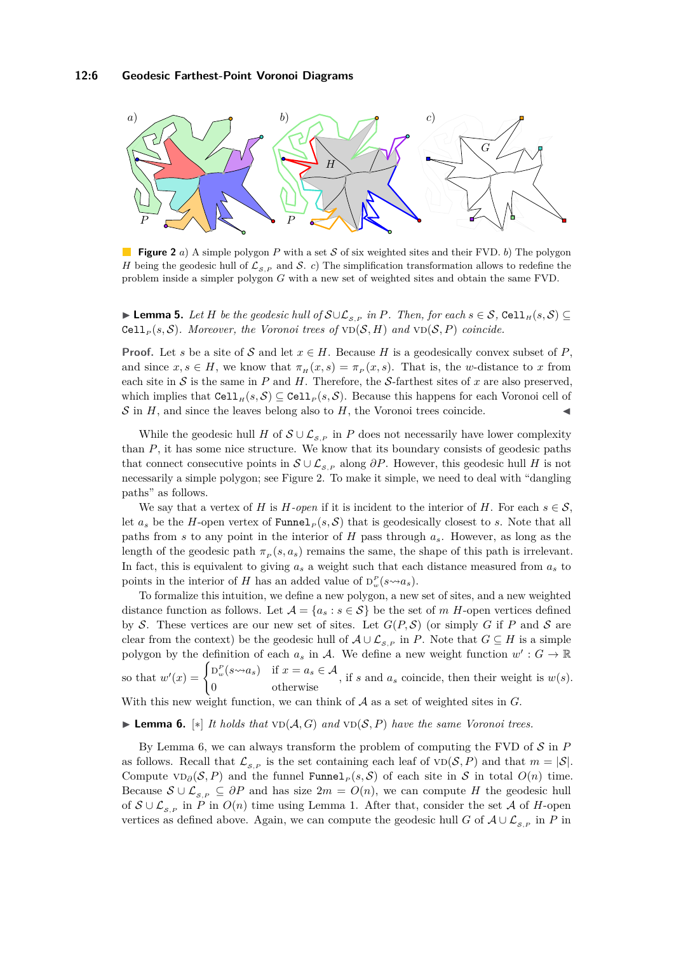<span id="page-5-0"></span>

**Figure 2** *a*) A simple polygon *P* with a set S of six weighted sites and their FVD. *b*) The polygon *H* being the geodesic hull of  $\mathcal{L}_{S,P}$  and S. *c*) The simplification transformation allows to redefine the problem inside a simpler polygon *G* with a new set of weighted sites and obtain the same FVD.

**► Lemma 5.** *Let H be the geodesic hull of*  $S \cup \mathcal{L}_{S,P}$  *in P. Then, for each*  $s \in S$ *,*  $C \in \mathbb{L}^H$ ,  $(s, S) \subseteq$ Cell<sub>*P*</sub> $(s, S)$ *. Moreover, the Voronoi trees of*  $VD(S, H)$  *and*  $VD(S, P)$  *coincide.* 

**Proof.** Let *s* be a site of S and let  $x \in H$ . Because *H* is a geodesically convex subset of *P*, and since  $x, s \in H$ , we know that  $\pi_H(x, s) = \pi_P(x, s)$ . That is, the *w*-distance to *x* from each site in  $S$  is the same in  $P$  and  $H$ . Therefore, the  $S$ -farthest sites of  $x$  are also preserved, which implies that  $\text{Cell}_H(s, \mathcal{S}) \subseteq \text{Cell}_P(s, \mathcal{S})$ . Because this happens for each Voronoi cell of  $S$  in  $H$ , and since the leaves belong also to  $H$ , the Voronoi trees coincide.

While the geodesic hull *H* of  $S \cup \mathcal{L}_{S,P}$  in *P* does not necessarily have lower complexity than *P*, it has some nice structure. We know that its boundary consists of geodesic paths that connect consecutive points in  $S \cup \mathcal{L}_{S,P}$  along  $\partial P$ . However, this geodesic hull *H* is not necessarily a simple polygon; see Figure [2.](#page-5-0) To make it simple, we need to deal with "dangling paths" as follows.

We say that a vertex of *H* is *H*-open if it is incident to the interior of *H*. For each  $s \in \mathcal{S}$ , let  $a_s$  be the *H*-open vertex of Funnel<sub>*P*</sub>( $s$ ,  $\mathcal{S}$ ) that is geodesically closest to *s*. Note that all paths from *s* to any point in the interior of *H* pass through *as*. However, as long as the length of the geodesic path  $\pi_P(s, a_s)$  remains the same, the shape of this path is irrelevant. In fact, this is equivalent to giving  $a_s$  a weight such that each distance measured from  $a_s$  to points in the interior of *H* has an added value of  $D_w^P(s \rightarrow a_s)$ .

To formalize this intuition, we define a new polygon, a new set of sites, and a new weighted distance function as follows. Let  $\mathcal{A} = \{a_s : s \in \mathcal{S}\}\)$  be the set of *m H*-open vertices defined by S. These vertices are our new set of sites. Let  $G(P, S)$  (or simply G if P and S are clear from the context) be the geodesic hull of  $A \cup \mathcal{L}_{S,P}$  in *P*. Note that  $G \subseteq H$  is a simple polygon by the definition of each  $a_s$  in A. We define a new weight function  $w': G \to \mathbb{R}$ so that  $w'(x) = \begin{cases} D_w^P(s \leadsto a_s) & \text{if } x = a_s \in A \end{cases}$  $\frac{d}{dx}$   $\frac{d}{dx}$   $\frac{d}{dx}$   $\frac{d}{dx}$  if *s* and *a<sub>s</sub>* coincide, then their weight is *w*(*s*).

With this new weight function, we can think of A as a set of weighted sites in G.

### <span id="page-5-1"></span>**► Lemma 6.**  $[*]$  *It holds that*  $VD(A, G)$  *and*  $VD(S, P)$  *have the same Voronoi trees.*

By Lemma [6,](#page-5-1) we can always transform the problem of computing the FVD of S in *P* as follows. Recall that  $\mathcal{L}_{\mathcal{S},P}$  is the set containing each leaf of  $VD(\mathcal{S}, P)$  and that  $m = |\mathcal{S}|$ . Compute  $\text{VD}_{\partial}(\mathcal{S}, P)$  and the funnel Funnel<sub>*P*</sub>(*s*,  $\mathcal{S}$ ) of each site in  $\mathcal{S}$  in total  $O(n)$  time. Because  $S \cup \mathcal{L}_{S,P} \subseteq \partial P$  and has size  $2m = O(n)$ , we can compute *H* the geodesic hull of  $S \cup \mathcal{L}_{S,P}$  in *P* in  $O(n)$  time using Lemma [1.](#page-4-0) After that, consider the set A of *H*-open vertices as defined above. Again, we can compute the geodesic hull *G* of  $A \cup \mathcal{L}_{S,P}$  in *P* in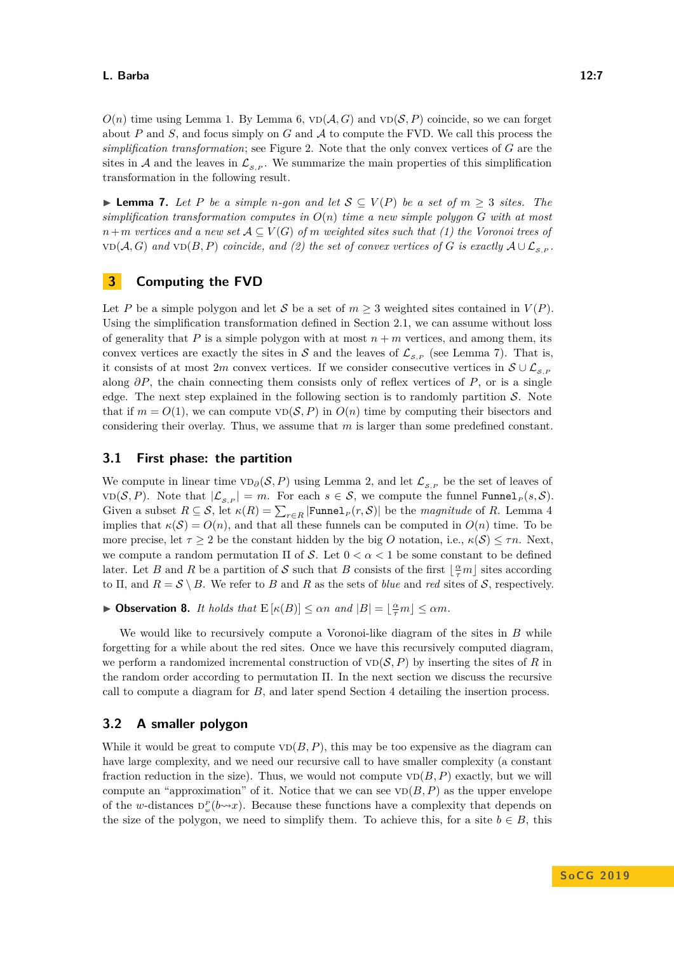$O(n)$  time using Lemma [1.](#page-4-0) By Lemma [6,](#page-5-1)  $VD(A, G)$  and  $VD(S, P)$  coincide, so we can forget about *P* and *S*, and focus simply on *G* and A to compute the FVD. We call this process the *simplification transformation*; see Figure [2.](#page-5-0) Note that the only convex vertices of *G* are the sites in A and the leaves in  $\mathcal{L}_{S,P}$ . We summarize the main properties of this simplification transformation in the following result.

<span id="page-6-2"></span>**► Lemma 7.** Let P be a simple n-gon and let  $S \subseteq V(P)$  be a set of  $m \geq 3$  sites. The *simplification transformation computes in*  $O(n)$  *time a new simple polygon*  $G$  *with at most*  $n+m$  *vertices and a new set*  $A \subseteq V(G)$  *of m weighted sites such that (1) the Voronoi trees of*  $\text{VD}(\mathcal{A}, G)$  and  $\text{VD}(B, P)$  *coincide, and (2) the set of convex vertices of G is exactly*  $\mathcal{A} \cup \mathcal{L}_{S, P}$ .

### **3 Computing the FVD**

Let *P* be a simple polygon and let *S* be a set of  $m > 3$  weighted sites contained in  $V(P)$ . Using the simplification transformation defined in Section [2.1,](#page-4-1) we can assume without loss of generality that *P* is a simple polygon with at most  $n + m$  vertices, and among them, its convex vertices are exactly the sites in S and the leaves of  $\mathcal{L}_{S,P}$  (see Lemma [7\)](#page-6-2). That is, it consists of at most 2*m* convex vertices. If we consider consecutive vertices in  $S \cup \mathcal{L}_{\text{S},p}$ along *∂P*, the chain connecting them consists only of reflex vertices of *P*, or is a single edge. The next step explained in the following section is to randomly partition  $S$ . Note that if  $m = O(1)$ , we can compute  $VD(S, P)$  in  $O(n)$  time by computing their bisectors and considering their overlay. Thus, we assume that *m* is larger than some predefined constant.

### <span id="page-6-0"></span>**3.1 First phase: the partition**

We compute in linear time  $\text{VD}_{\partial}(\mathcal{S}, P)$  using Lemma [2,](#page-4-2) and let  $\mathcal{L}_{S,P}$  be the set of leaves of vD(S, P). Note that  $|\mathcal{L}_{\mathcal{S},P}| = m$ . For each  $s \in \mathcal{S}$ , we compute the funnel Funnel<sub>P</sub>(s, S). Given a subset  $R \subseteq S$ , let  $\kappa(R) = \sum_{r \in R} |\text{Funnel}_P(r, S)|$  be the *magnitude* of *R*. Lemma [4](#page-4-3) implies that  $\kappa(\mathcal{S}) = O(n)$ , and that all these funnels can be computed in  $O(n)$  time. To be more precise, let  $\tau > 2$  be the constant hidden by the big *O* notation, i.e.,  $\kappa(S) \leq \tau n$ . Next, we compute a random permutation  $\Pi$  of S. Let  $0 < \alpha < 1$  be some constant to be defined later. Let *B* and *R* be a partition of *S* such that *B* consists of the first  $\lfloor \frac{\alpha}{\tau} m \rfloor$  sites according to  $\Pi$ , and  $R = S \setminus B$ . We refer to *B* and *R* as the sets of *blue* and *red* sites of *S*, respectively.

<span id="page-6-3"></span> $\blacktriangleright$  **Observation 8.** *It holds that*  $E\left[\kappa(B)\right] \leq \alpha n$  *and*  $|B| = \left\lfloor \frac{\alpha}{\tau} m \right\rfloor \leq \alpha m$ *.* 

We would like to recursively compute a Voronoi-like diagram of the sites in *B* while forgetting for a while about the red sites. Once we have this recursively computed diagram, we perform a randomized incremental construction of  $VD(S, P)$  by inserting the sites of R in the random order according to permutation Π. In the next section we discuss the recursive call to compute a diagram for *B*, and later spend Section [4](#page-9-0) detailing the insertion process.

### <span id="page-6-1"></span>**3.2 A smaller polygon**

While it would be great to compute  $VD(B, P)$ , this may be too expensive as the diagram can have large complexity, and we need our recursive call to have smaller complexity (a constant fraction reduction in the size). Thus, we would not compute  $VD(B, P)$  exactly, but we will compute an "approximation" of it. Notice that we can see  $VD(B, P)$  as the upper envelope of the *w*-distances  $D_w^P(b \rightarrow x)$ . Because these functions have a complexity that depends on the size of the polygon, we need to simplify them. To achieve this, for a site  $b \in B$ , this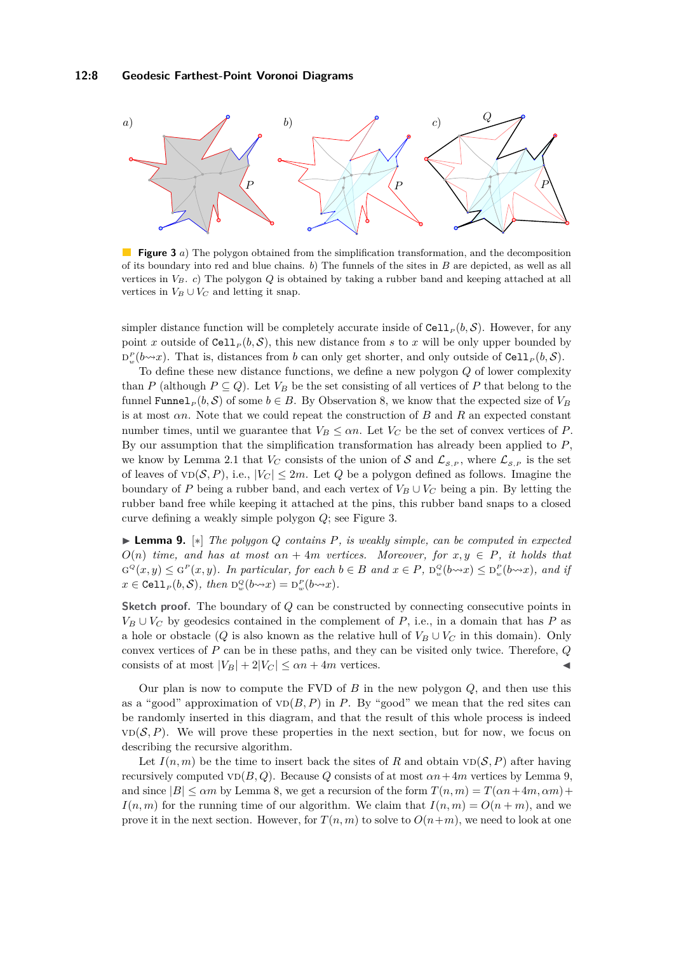<span id="page-7-0"></span>

**Figure 3** *a*) The polygon obtained from the simplification transformation, and the decomposition of its boundary into red and blue chains. *b*) The funnels of the sites in *B* are depicted, as well as all vertices in  $V_B$ . *c*) The polygon  $Q$  is obtained by taking a rubber band and keeping attached at all vertices in  $V_B \cup V_C$  and letting it snap.

simpler distance function will be completely accurate inside of  $Cell<sub>P</sub>(b, S)$ . However, for any point *x* outside of Cell<sub>*P*</sub> $(b, S)$ , this new distance from *s* to *x* will be only upper bounded by  $D_w^P(b \rightarrow x)$ . That is, distances from *b* can only get shorter, and only outside of Cell<sub>*P*</sub>(*b, S*).

To define these new distance functions, we define a new polygon *Q* of lower complexity than *P* (although  $P \subseteq Q$ ). Let  $V_B$  be the set consisting of all vertices of *P* that belong to the funnel Funnel<sub>P</sub> $(b, S)$  of some  $b \in B$ . By Observation [8,](#page-6-3) we know that the expected size of  $V_B$ is at most *αn*. Note that we could repeat the construction of *B* and *R* an expected constant number times, until we guarantee that  $V_B \le \alpha n$ . Let  $V_C$  be the set of convex vertices of *P*. By our assumption that the simplification transformation has already been applied to *P*, we know by Lemma [2.1](#page-4-1) that  $V_C$  consists of the union of S and  $\mathcal{L}_{S,P}$ , where  $\mathcal{L}_{S,P}$  is the set of leaves of  $VD(S, P)$ , i.e.,  $|V_C| \leq 2m$ . Let *Q* be a polygon defined as follows. Imagine the boundary of *P* being a rubber band, and each vertex of  $V_B \cup V_C$  being a pin. By letting the rubber band free while keeping it attached at the pins, this rubber band snaps to a closed curve defining a weakly simple polygon *Q*; see Figure [3.](#page-7-0)

<span id="page-7-1"></span>I **Lemma 9.** [∗] *The polygon Q contains P, is weakly simple, can be computed in expected*  $O(n)$  *time, and has at most*  $\alpha n + 4m$  *vertices. Moreover, for*  $x, y \in P$ *, it holds that*  $G^{Q}(x, y) \le G^{P}(x, y)$ . In particular, for each  $b \in B$  and  $x \in P$ ,  $D_{w}^{Q}(b \rightarrow x) \le D_{w}^{P}(b \rightarrow x)$ , and if  $x \in \text{Cell}_{P}(b, S)$ , then  $D_w^Q(b \rightsquigarrow x) = D_w^P(b \rightsquigarrow x)$ .

**Sketch proof.** The boundary of *Q* can be constructed by connecting consecutive points in  $V_B \cup V_C$  by geodesics contained in the complement of *P*, i.e., in a domain that has *P* as a hole or obstacle ( $Q$  is also known as the relative hull of  $V_B \cup V_C$  in this domain). Only convex vertices of *P* can be in these paths, and they can be visited only twice. Therefore, *Q* consists of at most  $|V_B| + 2|V_C| \le \alpha n + 4m$  vertices.

Our plan is now to compute the FVD of *B* in the new polygon *Q*, and then use this as a "good" approximation of  $VD(B, P)$  in *P*. By "good" we mean that the red sites can be randomly inserted in this diagram, and that the result of this whole process is indeed  $VD(S, P)$ . We will prove these properties in the next section, but for now, we focus on describing the recursive algorithm.

Let  $I(n, m)$  be the time to insert back the sites of R and obtain  $VD(S, P)$  after having recursively computed  $VD(B, Q)$ . Because *Q* consists of at most  $\alpha n + 4m$  vertices by Lemma [9,](#page-7-1) and since  $|B| \le \alpha m$  by Lemma [8,](#page-6-3) we get a recursion of the form  $T(n,m) = T(\alpha n + 4m, \alpha m) +$ *I*(*n, m*) for the running time of our algorithm. We claim that  $I(n, m) = O(n + m)$ , and we prove it in the next section. However, for  $T(n, m)$  to solve to  $O(n+m)$ , we need to look at one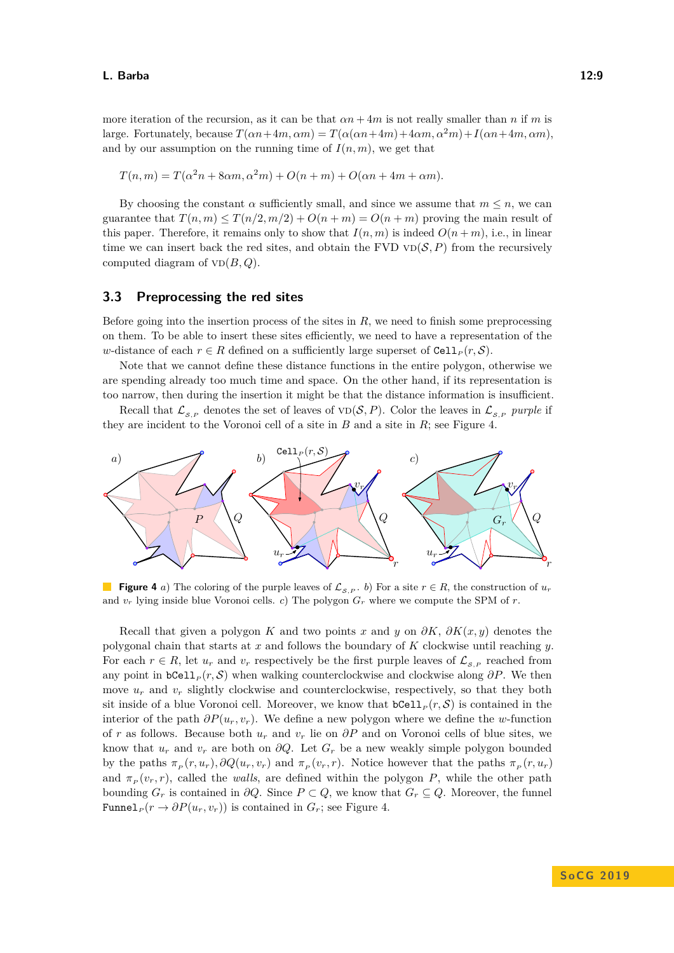more iteration of the recursion, as it can be that *αn* + 4*m* is not really smaller than *n* if *m* is large. Fortunately, because  $T(\alpha n + 4m, \alpha m) = T(\alpha(\alpha n + 4m) + 4\alpha m, \alpha^2 m) + I(\alpha n + 4m, \alpha m)$ . and by our assumption on the running time of  $I(n, m)$ , we get that

$$
T(n,m) = T(\alpha^2 n + 8\alpha m, \alpha^2 m) + O(n+m) + O(\alpha n + 4m + \alpha m).
$$

By choosing the constant  $\alpha$  sufficiently small, and since we assume that  $m \leq n$ , we can guarantee that  $T(n,m) \leq T(n/2,m/2) + O(n+m) = O(n+m)$  proving the main result of this paper. Therefore, it remains only to show that  $I(n, m)$  is indeed  $O(n + m)$ , i.e., in linear time we can insert back the red sites, and obtain the FVD  $VD(S, P)$  from the recursively computed diagram of  $VD(B, Q)$ .

### **3.3 Preprocessing the red sites**

Before going into the insertion process of the sites in *R*, we need to finish some preprocessing on them. To be able to insert these sites efficiently, we need to have a representation of the *w*-distance of each  $r \in R$  defined on a sufficiently large superset of Cell<sub>*P*</sub> $(r, S)$ .

Note that we cannot define these distance functions in the entire polygon, otherwise we are spending already too much time and space. On the other hand, if its representation is too narrow, then during the insertion it might be that the distance information is insufficient.

Recall that  $\mathcal{L}_{\mathcal{S},P}$  denotes the set of leaves of  $VD(\mathcal{S}, P)$ . Color the leaves in  $\mathcal{L}_{\mathcal{S},P}$  *purple* if they are incident to the Voronoi cell of a site in *B* and a site in *R*; see Figure [4.](#page-8-0)

<span id="page-8-0"></span>

**Figure 4** *a*) The coloring of the purple leaves of  $\mathcal{L}_{S,P}$ . *b*) For a site  $r \in R$ , the construction of  $u_r$ and  $v_r$  lying inside blue Voronoi cells. *c*) The polygon  $G_r$  where we compute the SPM of  $r$ .

Recall that given a polygon *K* and two points *x* and *y* on *∂K*, *∂K*(*x, y*) denotes the polygonal chain that starts at *x* and follows the boundary of *K* clockwise until reaching *y*. For each  $r \in R$ , let  $u_r$  and  $v_r$  respectively be the first purple leaves of  $\mathcal{L}_{s,p}$  reached from any point in  $bCell$ <sub>*P</sub>* (*r, S*) when walking counterclockwise and clockwise along  $\partial P$ . We then</sub> move  $u_r$  and  $v_r$  slightly clockwise and counterclockwise, respectively, so that they both sit inside of a blue Voronoi cell. Moreover, we know that  $bCell<sub>P</sub>(r, S)$  is contained in the interior of the path  $\partial P(u_r, v_r)$ . We define a new polygon where we define the *w*-function of *r* as follows. Because both  $u_r$  and  $v_r$  lie on  $\partial P$  and on Voronoi cells of blue sites, we know that  $u_r$  and  $v_r$  are both on  $\partial Q$ . Let  $G_r$  be a new weakly simple polygon bounded by the paths  $\pi_P(r, u_r)$ ,  $\partial Q(u_r, v_r)$  and  $\pi_P(v_r, r)$ . Notice however that the paths  $\pi_P(r, u_r)$ and  $\pi_P(v_r, r)$ , called the *walls*, are defined within the polygon *P*, while the other path bounding  $G_r$  is contained in  $\partial Q$ . Since  $P \subset Q$ , we know that  $G_r \subseteq Q$ . Moreover, the funnel Funnel<sub>*P*</sub> $(r \rightarrow \partial P(u_r, v_r))$  is contained in  $G_r$ ; see Figure [4.](#page-8-0)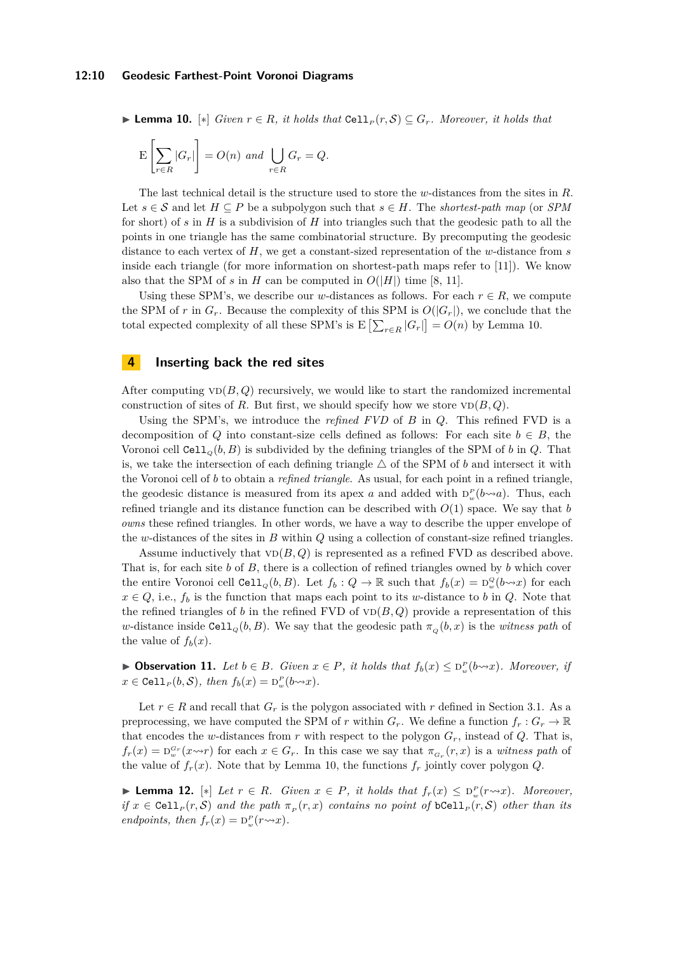#### **12:10 Geodesic Farthest-Point Voronoi Diagrams**

<span id="page-9-1"></span>**► Lemma 10.**  $[*]$  *Given*  $r \in R$ *, it holds that* Cell<sub>*P*</sub>( $r, S$ )  $\subseteq G_r$ *. Moreover, it holds that* 

$$
\mathcal{E}\left[\sum_{r \in R} |G_r|\right] = O(n) \text{ and } \bigcup_{r \in R} G_r = Q.
$$

The last technical detail is the structure used to store the *w*-distances from the sites in *R*. Let  $s \in \mathcal{S}$  and let  $H \subseteq P$  be a subpolygon such that  $s \in H$ . The *shortest-path map* (or *SPM* for short) of *s* in *H* is a subdivision of *H* into triangles such that the geodesic path to all the points in one triangle has the same combinatorial structure. By precomputing the geodesic distance to each vertex of *H*, we get a constant-sized representation of the *w*-distance from *s* inside each triangle (for more information on shortest-path maps refer to [\[11\]](#page-13-13)). We know also that the SPM of *s* in *H* can be computed in  $O(|H|)$  time [\[8,](#page-12-7) [11\]](#page-13-13).

Using these SPM's, we describe our *w*-distances as follows. For each  $r \in R$ , we compute the SPM of *r* in  $G_r$ . Because the complexity of this SPM is  $O(|G_r|)$ , we conclude that the total expected complexity of all these SPM's is  $E\left[\sum_{r \in R} |G_r|\right] = O(n)$  by Lemma [10.](#page-9-1)

### <span id="page-9-0"></span>**4 Inserting back the red sites**

After computing  $VD(B, Q)$  recursively, we would like to start the randomized incremental construction of sites of *R*. But first, we should specify how we store  $VD(B, Q)$ .

Using the SPM's, we introduce the *refined FVD* of *B* in *Q*. This refined FVD is a decomposition of *Q* into constant-size cells defined as follows: For each site  $b \in B$ , the Voronoi cell Cell<sub>c</sub>(*b*, *B*) is subdivided by the defining triangles of the SPM of *b* in *Q*. That is, we take the intersection of each defining triangle  $\triangle$  of the SPM of *b* and intersect it with the Voronoi cell of *b* to obtain a *refined triangle*. As usual, for each point in a refined triangle, the geodesic distance is measured from its apex *a* and added with  $D_w^P(b \rightarrow a)$ . Thus, each refined triangle and its distance function can be described with  $O(1)$  space. We say that *b owns* these refined triangles. In other words, we have a way to describe the upper envelope of the *w*-distances of the sites in *B* within *Q* using a collection of constant-size refined triangles.

Assume inductively that  $VD(B, Q)$  is represented as a refined FVD as described above. That is, for each site *b* of *B*, there is a collection of refined triangles owned by *b* which cover the entire Voronoi cell  $\text{Cell}_Q(b, B)$ . Let  $f_b: Q \to \mathbb{R}$  such that  $f_b(x) = D_w^Q(b \to x)$  for each  $x \in Q$ , i.e.,  $f_b$  is the function that maps each point to its *w*-distance to *b* in *Q*. Note that the refined triangles of *b* in the refined FVD of  $VD(B,Q)$  provide a representation of this *w*-distance inside Cell<sub>*Q*</sub>(*b, B*). We say that the geodesic path  $\pi$ <sub>*Q*</sub>(*b, x*) is the *witness path* of the value of  $f_b(x)$ .

▶ Observation 11. Let  $b \in B$ *. Given*  $x \in P$ *, it holds that*  $f_b(x) \leq D_w^P(b \rightsquigarrow x)$ *. Moreover, if*  $x \in \text{Cell}_{P}(b, S)$ , then  $f_b(x) = D_w^P(b \rightsquigarrow x)$ .

Let  $r \in R$  and recall that  $G_r$  is the polygon associated with  $r$  defined in Section [3.1.](#page-6-0) As a preprocessing, we have computed the SPM of *r* within  $G_r$ . We define a function  $f_r: G_r \to \mathbb{R}$ that encodes the *w*-distances from *r* with respect to the polygon *Gr*, instead of *Q*. That is,  $f_r(x) = D_w^{G_r}(x \rightarrow r)$  for each  $x \in G_r$ . In this case we say that  $\pi_{G_r}(r, x)$  is a *witness path* of the value of  $f_r(x)$ . Note that by Lemma [10,](#page-9-1) the functions  $f_r$  jointly cover polygon *Q*.

▶ **Lemma 12.**  $[*]$  *Let*  $r \in R$ *. Given*  $x \in P$ *, it holds that*  $f_r(x) \leq D_w^P(r \rightarrow x)$ *. Moreover, if*  $x \in \text{Cell}_P(r, \mathcal{S})$  and the path  $\pi_P(r, x)$  contains no point of  $\text{bCell}_P(r, \mathcal{S})$  other than its *endpoints, then*  $f_r(x) = D_w^P(r \rightarrow x)$ *.*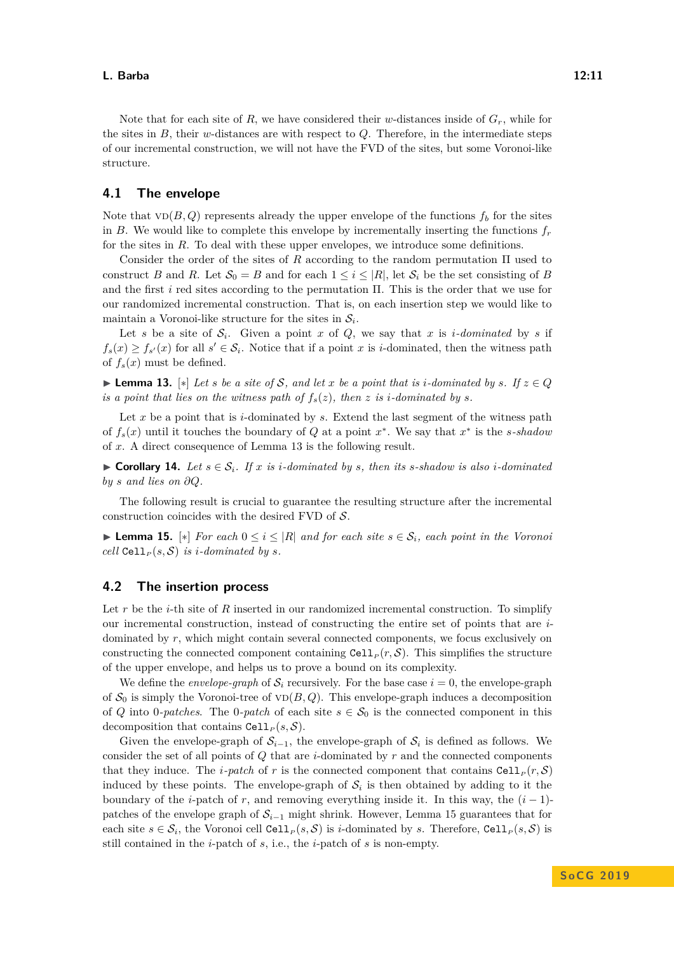Note that for each site of *R*, we have considered their *w*-distances inside of  $G_r$ , while for the sites in *B*, their *w*-distances are with respect to *Q*. Therefore, in the intermediate steps of our incremental construction, we will not have the FVD of the sites, but some Voronoi-like structure.

### **4.1 The envelope**

Note that  $VD(B, Q)$  represents already the upper envelope of the functions  $f<sub>b</sub>$  for the sites in *B*. We would like to complete this envelope by incrementally inserting the functions  $f_r$ for the sites in *R*. To deal with these upper envelopes, we introduce some definitions.

Consider the order of the sites of *R* according to the random permutation Π used to construct *B* and *R*. Let  $S_0 = B$  and for each  $1 \leq i \leq |R|$ , let  $S_i$  be the set consisting of *B* and the first *i* red sites according to the permutation Π. This is the order that we use for our randomized incremental construction. That is, on each insertion step we would like to maintain a Voronoi-like structure for the sites in  $S_i$ .

Let *s* be a site of  $S_i$ . Given a point *x* of *Q*, we say that *x* is *i*-dominated by *s* if  $f_s(x) \ge f_{s'}(x)$  for all  $s' \in S_i$ . Notice that if a point *x* is *i*-dominated, then the witness path of  $f_s(x)$  must be defined.

<span id="page-10-0"></span>**► Lemma 13.**  $[*]$  *Let s be a site of S*, and let *x be a point that is i*-dominated by *s.* If  $z \in Q$ *is a point that lies on the witness path of*  $f_s(z)$ *, then z is i-dominated by s.* 

Let *x* be a point that is *i*-dominated by *s*. Extend the last segment of the witness path of *fs*(*x*) until it touches the boundary of *Q* at a point *x* ∗ . We say that *x* ∗ is the *s-shadow* of *x*. A direct consequence of Lemma [13](#page-10-0) is the following result.

▶ **Corollary 14.** Let  $s \in S_i$ . If  $x$  is *i*-dominated by  $s$ , then its  $s$ -shadow is also *i*-dominated *by s and lies on ∂Q.*

The following result is crucial to guarantee the resulting structure after the incremental construction coincides with the desired FVD of S.

<span id="page-10-1"></span>**► Lemma 15.**  $[*]$  *For each*  $0 \leq i \leq |R|$  *and for each site*  $s \in S_i$ *, each point in the Voronoi cell*  $Cell$   $\text{Cell}_P(s, \mathcal{S})$  *is i-dominated by s.* 

### **4.2 The insertion process**

Let r be the *i*-th site of R inserted in our randomized incremental construction. To simplify our incremental construction, instead of constructing the entire set of points that are *i*dominated by *r*, which might contain several connected components, we focus exclusively on constructing the connected component containing  $\text{Cell}_P(r, \mathcal{S})$ . This simplifies the structure of the upper envelope, and helps us to prove a bound on its complexity.

We define the *envelope-graph* of  $S_i$  recursively. For the base case  $i = 0$ , the envelope-graph of  $S_0$  is simply the Voronoi-tree of  $VD(B, Q)$ . This envelope-graph induces a decomposition of *Q* into 0*-patches*. The 0*-patch* of each site  $s \in S_0$  is the connected component in this decomposition that contains  $Cell<sub>P</sub>(s, S)$ .

Given the envelope-graph of  $S_{i-1}$ , the envelope-graph of  $S_i$  is defined as follows. We consider the set of all points of *Q* that are *i*-dominated by *r* and the connected components that they induce. The *i*-patch of r is the connected component that contains  $\text{Cell}_P(r, \mathcal{S})$ induced by these points. The envelope-graph of  $S_i$  is then obtained by adding to it the boundary of the *i*-patch of *r*, and removing everything inside it. In this way, the  $(i-1)$ patches of the envelope graph of S*i*−<sup>1</sup> might shrink. However, Lemma [15](#page-10-1) guarantees that for each site  $s \in S_i$ , the Voronoi cell Cell<sub>*P*</sub>(*s*, S) is *i*-dominated by *s*. Therefore, Cell<sub>*P*</sub>(*s*, S) is still contained in the *i*-patch of *s*, i.e., the *i*-patch of *s* is non-empty.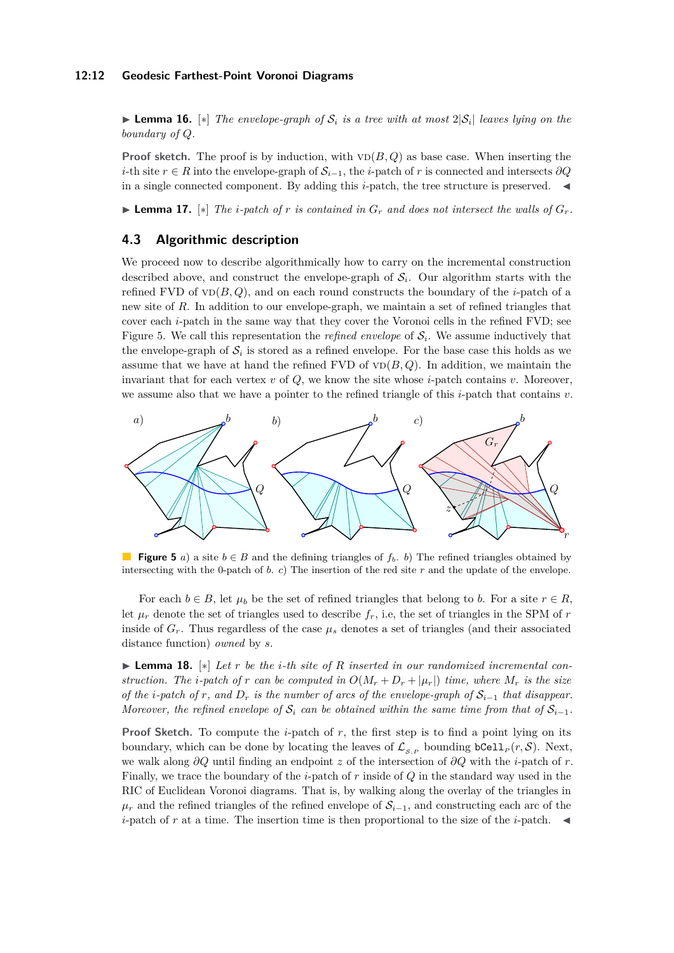#### **12:12 Geodesic Farthest-Point Voronoi Diagrams**

**► Lemma 16.**  $[*]$  *The envelope-graph of*  $S_i$  *is a tree with at most*  $2|S_i|$  *leaves lying on the boundary of Q.*

**Proof sketch.** The proof is by induction, with  $VD(B, Q)$  as base case. When inserting the *i*-th site  $r \in R$  into the envelope-graph of  $S_{i-1}$ , the *i*-patch of *r* is connected and intersects  $\partial Q$ in a single connected component. By adding this  $i$ -patch, the tree structure is preserved.  $\blacktriangleleft$ 

► **Lemma 17.**  $[*]$  *The i-patch of r is contained in*  $G_r$  *and does not intersect the walls of*  $G_r$ .

### **4.3 Algorithmic description**

We proceed now to describe algorithmically how to carry on the incremental construction described above, and construct the envelope-graph of  $S_i$ . Our algorithm starts with the refined FVD of  $VD(B, Q)$ , and on each round constructs the boundary of the *i*-patch of a new site of *R*. In addition to our envelope-graph, we maintain a set of refined triangles that cover each *i*-patch in the same way that they cover the Voronoi cells in the refined FVD; see Figure [5.](#page-11-0) We call this representation the *refined envelope* of  $S_i$ . We assume inductively that the envelope-graph of  $S_i$  is stored as a refined envelope. For the base case this holds as we assume that we have at hand the refined FVD of  $VD(R, Q)$ . In addition, we maintain the invariant that for each vertex *v* of *Q*, we know the site whose *i*-patch contains *v*. Moreover, we assume also that we have a pointer to the refined triangle of this *i*-patch that contains *v*.

<span id="page-11-0"></span>

**Figure 5** *a*) a site *b* ∈ *B* and the defining triangles of *fb*. *b*) The refined triangles obtained by intersecting with the 0-patch of  $b$ .  $c$ ) The insertion of the red site  $r$  and the update of the envelope.

For each  $b \in B$ , let  $\mu_b$  be the set of refined triangles that belong to *b*. For a site  $r \in R$ , let  $\mu_r$  denote the set of triangles used to describe  $f_r$ , i.e, the set of triangles in the SPM of  $r$ inside of  $G_r$ . Thus regardless of the case  $\mu_s$  denotes a set of triangles (and their associated distance function) *owned* by *s*.

<span id="page-11-1"></span>I **Lemma 18.** [∗] *Let r be the i-th site of R inserted in our randomized incremental construction. The i*-patch of *r* can be computed in  $O(M_r + D_r + |\mu_r|)$  time, where  $M_r$  is the size *of the i*-patch of *r*, and  $D_r$  *is the number of arcs of the envelope-graph of*  $S_{i-1}$  *that disappear. Moreover, the refined envelope of*  $S_i$  *can be obtained within the same time from that of*  $S_{i-1}$ *.* 

**Proof Sketch.** To compute the *i*-patch of *r*, the first step is to find a point lying on its boundary, which can be done by locating the leaves of  $\mathcal{L}_{\mathcal{S},P}$  bounding  $\mathsf{bCell}_P(r,\mathcal{S})$ . Next, we walk along *∂Q* until finding an endpoint *z* of the intersection of *∂Q* with the *i*-patch of *r*. Finally, we trace the boundary of the *i*-patch of *r* inside of *Q* in the standard way used in the RIC of Euclidean Voronoi diagrams. That is, by walking along the overlay of the triangles in  $\mu_r$  and the refined triangles of the refined envelope of  $\mathcal{S}_{i-1}$ , and constructing each arc of the *i*-patch of *r* at a time. The insertion time is then proportional to the size of the *i*-patch.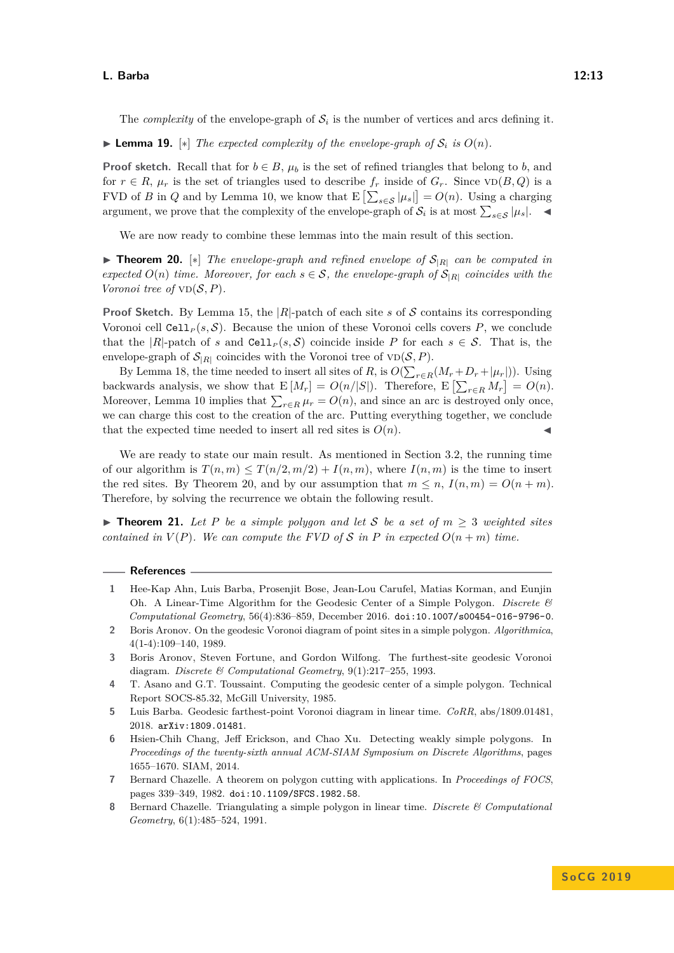The *complexity* of the envelope-graph of  $S_i$  is the number of vertices and arcs defining it.

**► Lemma 19.**  $[*]$  *The expected complexity of the envelope-graph of*  $S_i$  *is*  $O(n)$ *.* 

**Proof sketch.** Recall that for  $b \in B$ ,  $\mu_b$  is the set of refined triangles that belong to *b*, and for  $r \in R$ ,  $\mu_r$  is the set of triangles used to describe  $f_r$  inside of  $G_r$ . Since  $VD(B, Q)$  is a FVD of *B* in *Q* and by Lemma [10,](#page-9-1) we know that  $E\left[\sum_{s \in S} |\mu_s|\right] = O(n)$ . Using a charging argument, we prove that the complexity of the envelope-graph of  $S_i$  is at most  $\sum_{s \in S} |\mu_s|$ .  $\blacktriangleleft$ 

We are now ready to combine these lemmas into the main result of this section.

<span id="page-12-8"></span>I **Theorem 20.** [∗] *The envelope-graph and refined envelope of* S<sup>|</sup>*R*<sup>|</sup> *can be computed in expected*  $O(n)$  *time. Moreover, for each*  $s \in S$ *, the envelope-graph of*  $S_{|R|}$  *coincides with the Voronoi tree of*  $VD(S, P)$ *.* 

**Proof Sketch.** By Lemma [15,](#page-10-1) the |*R*|-patch of each site *s* of *S* contains its corresponding Voronoi cell Cell<sub>*P*</sub> $(s, S)$ . Because the union of these Voronoi cells covers *P*, we conclude that the |*R*|-patch of *s* and Cell<sub>*P*</sub>(*s*, S) coincide inside *P* for each  $s \in S$ . That is, the envelope-graph of  $S_{|R|}$  coincides with the Voronoi tree of  $VD(S, P)$ .

By Lemma [18,](#page-11-1) the time needed to insert all sites of  $R$ , is  $O(\sum_{r \in R} (M_r + D_r + |\mu_r|))$ . Using backwards analysis, we show that  $E[M_r] = O(n/|S|)$ . Therefore,  $E\left[\sum_{r \in R} M_r\right] = O(n)$ . Moreover, Lemma [10](#page-9-1) implies that  $\sum_{r \in R} \mu_r = O(n)$ , and since an arc is destroyed only once, we can charge this cost to the creation of the arc. Putting everything together, we conclude that the expected time needed to insert all red sites is  $O(n)$ .

We are ready to state our main result. As mentioned in Section [3.2,](#page-6-1) the running time of our algorithm is  $T(n,m) \leq T(n/2,m/2) + I(n,m)$ , where  $I(n,m)$  is the time to insert the red sites. By Theorem [20,](#page-12-8) and by our assumption that  $m \leq n$ ,  $I(n,m) = O(n + m)$ . Therefore, by solving the recurrence we obtain the following result.

▶ **Theorem 21.** Let P be a simple polygon and let S be a set of  $m \geq 3$  weighted sites *contained in*  $V(P)$ *. We can compute the FVD of* S *in* P *in expected*  $O(n+m)$  *time.* 

#### **References**

- <span id="page-12-0"></span>**1** Hee-Kap Ahn, Luis Barba, Prosenjit Bose, Jean-Lou Carufel, Matias Korman, and Eunjin Oh. A Linear-Time Algorithm for the Geodesic Center of a Simple Polygon. *Discrete & Computational Geometry*, 56(4):836–859, December 2016. [doi:10.1007/s00454-016-9796-0](http://dx.doi.org/10.1007/s00454-016-9796-0).
- <span id="page-12-4"></span>**2** Boris Aronov. On the geodesic Voronoi diagram of point sites in a simple polygon. *Algorithmica*, 4(1-4):109–140, 1989.
- <span id="page-12-1"></span>**3** Boris Aronov, Steven Fortune, and Gordon Wilfong. The furthest-site geodesic Voronoi diagram. *Discrete & Computational Geometry*, 9(1):217–255, 1993.
- <span id="page-12-3"></span>**4** T. Asano and G.T. Toussaint. Computing the geodesic center of a simple polygon. Technical Report SOCS-85.32, McGill University, 1985.
- <span id="page-12-5"></span>**5** Luis Barba. Geodesic farthest-point Voronoi diagram in linear time. *CoRR*, abs/1809.01481, 2018. [arXiv:1809.01481](http://arxiv.org/abs/1809.01481).
- <span id="page-12-6"></span>**6** Hsien-Chih Chang, Jeff Erickson, and Chao Xu. Detecting weakly simple polygons. In *Proceedings of the twenty-sixth annual ACM-SIAM Symposium on Discrete Algorithms*, pages 1655–1670. SIAM, 2014.
- <span id="page-12-2"></span>**7** Bernard Chazelle. A theorem on polygon cutting with applications. In *Proceedings of FOCS*, pages 339–349, 1982. [doi:10.1109/SFCS.1982.58](http://dx.doi.org/10.1109/SFCS.1982.58).
- <span id="page-12-7"></span>**8** Bernard Chazelle. Triangulating a simple polygon in linear time. *Discrete & Computational Geometry*, 6(1):485–524, 1991.